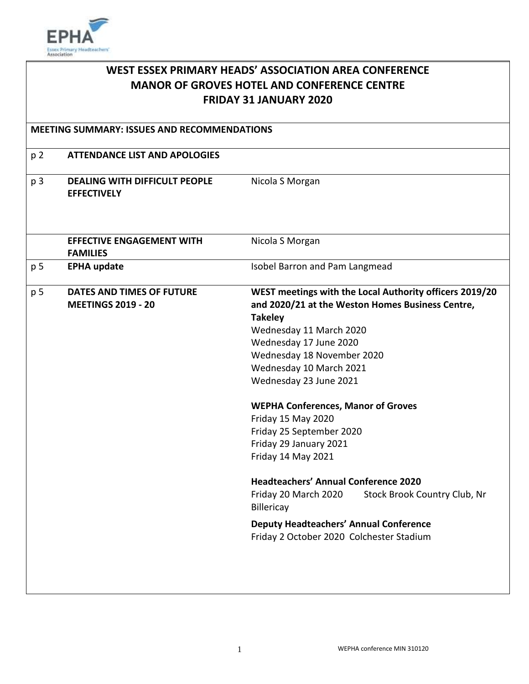

| WEST ESSEX PRIMARY HEADS' ASSOCIATION AREA CONFERENCE<br><b>MANOR OF GROVES HOTEL AND CONFERENCE CENTRE</b><br><b>FRIDAY 31 JANUARY 2020</b><br><b>MEETING SUMMARY: ISSUES AND RECOMMENDATIONS</b> |                                                               |                                                                                                                                                                                                                                                                                                                                                                                                                                                                                                                                                                                                                                        |
|----------------------------------------------------------------------------------------------------------------------------------------------------------------------------------------------------|---------------------------------------------------------------|----------------------------------------------------------------------------------------------------------------------------------------------------------------------------------------------------------------------------------------------------------------------------------------------------------------------------------------------------------------------------------------------------------------------------------------------------------------------------------------------------------------------------------------------------------------------------------------------------------------------------------------|
|                                                                                                                                                                                                    |                                                               |                                                                                                                                                                                                                                                                                                                                                                                                                                                                                                                                                                                                                                        |
| p 3                                                                                                                                                                                                | <b>DEALING WITH DIFFICULT PEOPLE</b><br><b>EFFECTIVELY</b>    | Nicola S Morgan                                                                                                                                                                                                                                                                                                                                                                                                                                                                                                                                                                                                                        |
|                                                                                                                                                                                                    | <b>EFFECTIVE ENGAGEMENT WITH</b><br><b>FAMILIES</b>           | Nicola S Morgan                                                                                                                                                                                                                                                                                                                                                                                                                                                                                                                                                                                                                        |
| p 5                                                                                                                                                                                                | <b>EPHA update</b>                                            | Isobel Barron and Pam Langmead                                                                                                                                                                                                                                                                                                                                                                                                                                                                                                                                                                                                         |
| p 5                                                                                                                                                                                                | <b>DATES AND TIMES OF FUTURE</b><br><b>MEETINGS 2019 - 20</b> | WEST meetings with the Local Authority officers 2019/20<br>and 2020/21 at the Weston Homes Business Centre,<br><b>Takeley</b><br>Wednesday 11 March 2020<br>Wednesday 17 June 2020<br>Wednesday 18 November 2020<br>Wednesday 10 March 2021<br>Wednesday 23 June 2021<br><b>WEPHA Conferences, Manor of Groves</b><br>Friday 15 May 2020<br>Friday 25 September 2020<br>Friday 29 January 2021<br>Friday 14 May 2021<br><b>Headteachers' Annual Conference 2020</b><br>Friday 20 March 2020<br>Stock Brook Country Club, Nr<br>Billericay<br><b>Deputy Headteachers' Annual Conference</b><br>Friday 2 October 2020 Colchester Stadium |
|                                                                                                                                                                                                    |                                                               |                                                                                                                                                                                                                                                                                                                                                                                                                                                                                                                                                                                                                                        |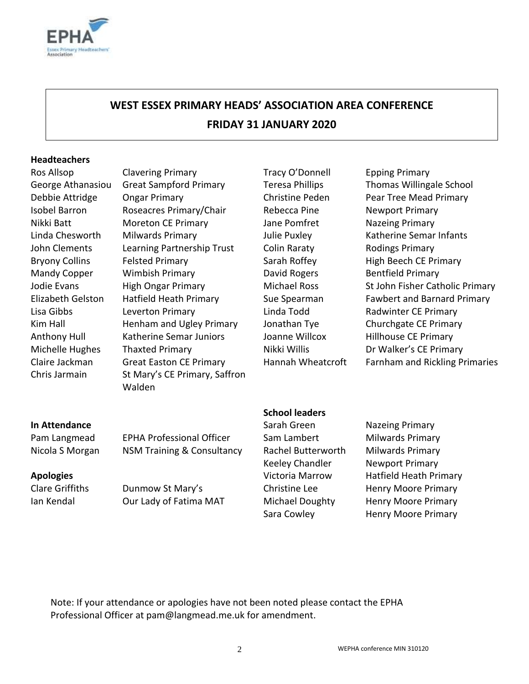

# **WEST ESSEX PRIMARY HEADS' ASSOCIATION AREA CONFERENCE FRIDAY 31 JANUARY 2020**

#### **Headteachers**

Ros Allsop Clavering Primary Tracy O'Donnell Epping Primary George Athanasiou Great Sampford Primary Teresa Phillips Thomas Willingale School Debbie Attridge Ongar Primary Christine Peden Pear Tree Mead Primary Isobel Barron Roseacres Primary/Chair Rebecca Pine Newport Primary Nikki Batt **Moreton CE Primary** Jane Pomfret Nazeing Primary Linda Chesworth Milwards Primary **Milwards Primary Matherine Semar Infants** John Clements Learning Partnership Trust Colin Raraty Rodings Primary Bryony Collins Felsted Primary Sarah Roffey High Beech CE Primary Mandy Copper Wimbish Primary David Rogers Bentfield Primary Lisa Gibbs Leverton Primary Linda Todd Radwinter CE Primary Kim Hall **Henham and Ugley Primary** Jonathan Tye Churchgate CE Primary Anthony Hull Katherine Semar Juniors Joanne Willcox Hillhouse CE Primary Michelle Hughes Thaxted Primary Nikki Willis Dr Walker's CE Primary Chris Jarmain St Mary's CE Primary, Saffron Walden

Jodie Evans **High Ongar Primary Communishing Constant** St John Fisher Catholic Primary Elizabeth Gelston Hatfield Heath Primary Sue Spearman Fawbert and Barnard Primary Claire Jackman Great Easton CE Primary Hannah Wheatcroft Farnham and Rickling Primaries

Pam Langmead EPHA Professional Officer Sam Lambert Milwards Primary Nicola S Morgan NSM Training & Consultancy Rachel Butterworth Milwards Primary

**Apologies** Victoria Marrow Hatfield Heath Primary Clare Griffiths **Dunmow St Mary's** Christine Lee **Henry Moore Primary** 

#### **School leaders**

Keeley Chandler Newport Primary Sara Cowley **Henry Moore Primary** 

**In Attendance** Sarah Green Nazeing Primary Ian Kendal Our Lady of Fatima MAT Michael Doughty Henry Moore Primary

Note: If your attendance or apologies have not been noted please contact the EPHA Professional Officer at pam@langmead.me.uk for amendment.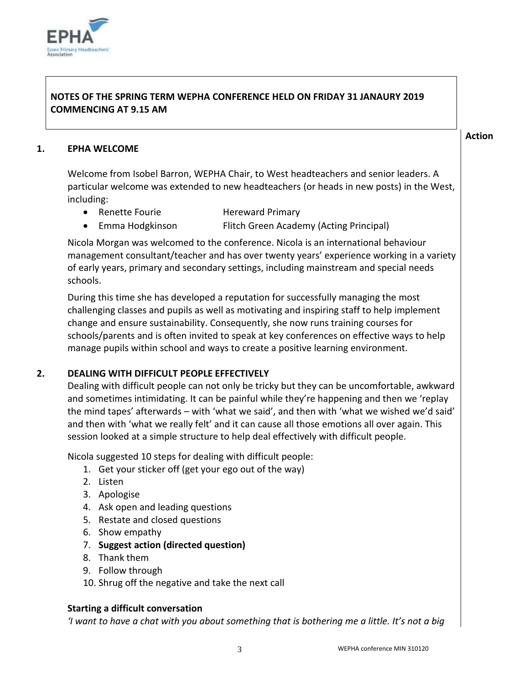

## **NOTES OF THE SPRING TERM WEPHA CONFERENCE HELD ON FRIDAY 31 JANAURY 2019 COMMENCING AT 9.15 AM**

**Action**

#### **1. EPHA WELCOME**

Welcome from Isobel Barron, WEPHA Chair, to West headteachers and senior leaders. A particular welcome was extended to new headteachers (or heads in new posts) in the West, including:

- Renette Fourie **Hereward Primary**
- Emma Hodgkinson Flitch Green Academy (Acting Principal)

Nicola Morgan was welcomed to the conference. Nicola is an international behaviour management consultant/teacher and has over twenty years' experience working in a variety of early years, primary and secondary settings, including mainstream and special needs schools.

During this time she has developed a reputation for successfully managing the most challenging classes and pupils as well as motivating and inspiring staff to help implement change and ensure sustainability. Consequently, she now runs training courses for schools/parents and is often invited to speak at key conferences on effective ways to help manage pupils within school and ways to create a positive learning environment.

### **2. DEALING WITH DIFFICULT PEOPLE EFFECTIVELY**

Dealing with difficult people can not only be tricky but they can be uncomfortable, awkward and sometimes intimidating. It can be painful while they're happening and then we 'replay the mind tapes' afterwards – with 'what we said', and then with 'what we wished we'd said' and then with 'what we really felt' and it can cause all those emotions all over again. This session looked at a simple structure to help deal effectively with difficult people.

Nicola suggested 10 steps for dealing with difficult people:

- 1. Get your sticker off (get your ego out of the way)
- 2. Listen
- 3. Apologise
- 4. Ask open and leading questions
- 5. Restate and closed questions
- 6. Show empathy
- 7. **Suggest action (directed question)**
- 8. Thank them
- 9. Follow through
- 10. Shrug off the negative and take the next call

### **Starting a difficult conversation**

*'I want to have a chat with you about something that is bothering me a little. It's not a big*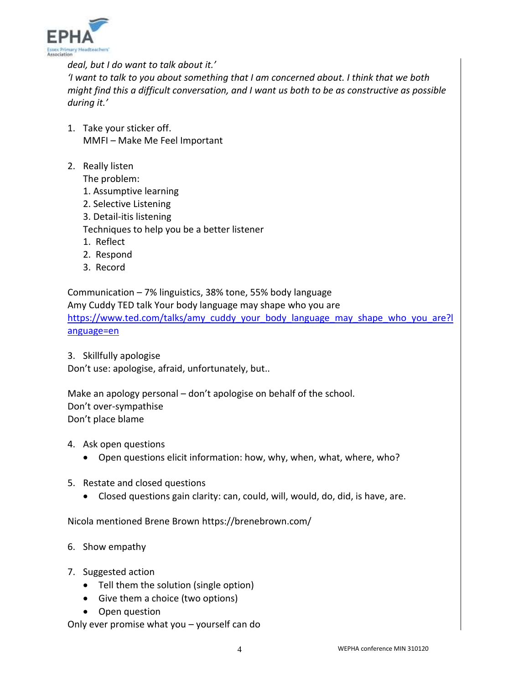

*deal, but I do want to talk about it.' 'I want to talk to you about something that I am concerned about. I think that we both might find this a difficult conversation, and I want us both to be as constructive as possible during it.'*

- 1. Take your sticker off. MMFI – Make Me Feel Important
- 2. Really listen

The problem:

- 1. Assumptive learning
- 2. Selective Listening
- 3. Detail-itis listening

Techniques to help you be a better listener

- 1. Reflect
- 2. Respond
- 3. Record

Communication – 7% linguistics, 38% tone, 55% body language Amy Cuddy TED talk Your body language may shape who you are [https://www.ted.com/talks/amy\\_cuddy\\_your\\_body\\_language\\_may\\_shape\\_who\\_you\\_are?l](https://www.ted.com/talks/amy_cuddy_your_body_language_may_shape_who_you_are?language=en) [anguage=en](https://www.ted.com/talks/amy_cuddy_your_body_language_may_shape_who_you_are?language=en)

3. Skillfully apologise

Don't use: apologise, afraid, unfortunately, but..

Make an apology personal – don't apologise on behalf of the school. Don't over-sympathise Don't place blame

- 4. Ask open questions
	- Open questions elicit information: how, why, when, what, where, who?
- 5. Restate and closed questions
	- Closed questions gain clarity: can, could, will, would, do, did, is have, are.

Nicola mentioned Brene Brown https://brenebrown.com/

- 6. Show empathy
- 7. Suggested action
	- Tell them the solution (single option)
	- Give them a choice (two options)
	- Open question

Only ever promise what you – yourself can do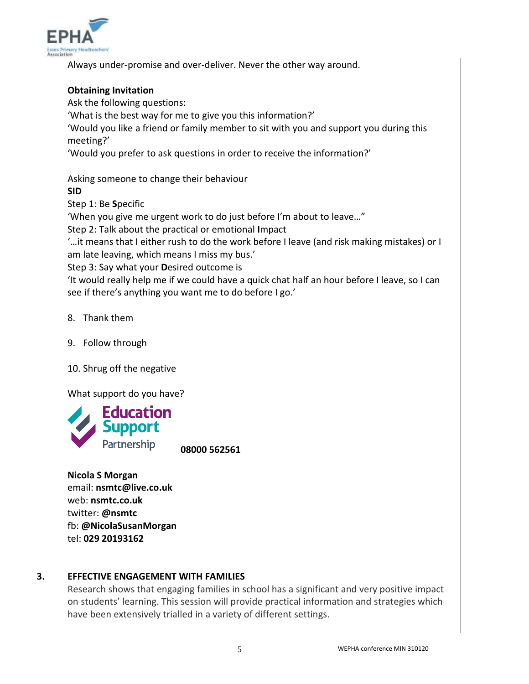

Always under-promise and over-deliver. Never the other way around.

#### **Obtaining Invitation**

Ask the following questions:

'What is the best way for me to give you this information?'

'Would you like a friend or family member to sit with you and support you during this meeting?'

'Would you prefer to ask questions in order to receive the information?'

Asking someone to change their behaviour

**SID**

Step 1: Be **S**pecific

'When you give me urgent work to do just before I'm about to leave…"

Step 2: Talk about the practical or emotional **I**mpact

'…it means that I either rush to do the work before I leave (and risk making mistakes) or I am late leaving, which means I miss my bus.'

Step 3: Say what your **D**esired outcome is

'It would really help me if we could have a quick chat half an hour before I leave, so I can see if there's anything you want me to do before I go.'

8. Thank them

9. Follow through

10. Shrug off the negative

What support do you have?



**Nicola S Morgan** email: **nsmtc@live.co.uk** web: **nsmtc.co.uk** twitter: **@nsmtc** fb: **@NicolaSusanMorgan** tel: **029 20193162**

### **3. EFFECTIVE ENGAGEMENT WITH FAMILIES**

Research shows that engaging families in school has a significant and very positive impact on students' learning. This session will provide practical information and strategies which have been extensively trialled in a variety of different settings.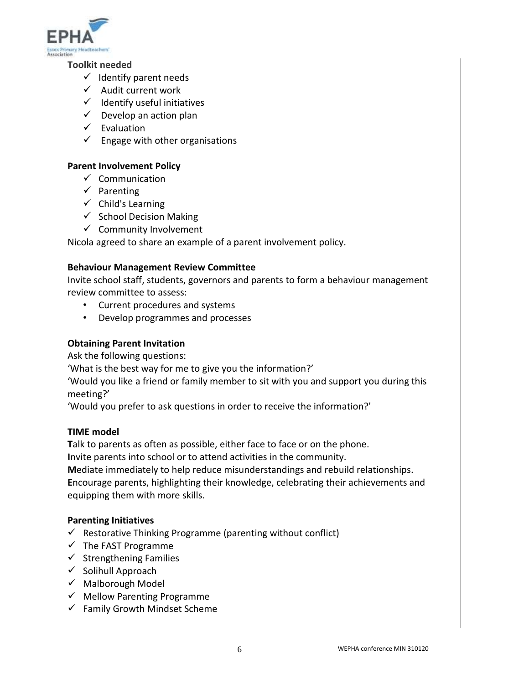

#### **Toolkit needed**

- $\checkmark$  Identify parent needs
- $\checkmark$  Audit current work
- $\checkmark$  Identify useful initiatives
- $\checkmark$  Develop an action plan
- $\checkmark$  Evaluation
- $\checkmark$  Engage with other organisations

#### **Parent Involvement Policy**

- $\checkmark$  Communication
- $\checkmark$  Parenting
- $\checkmark$  Child's Learning
- $\checkmark$  School Decision Making
- $\checkmark$  Community Involvement

Nicola agreed to share an example of a parent involvement policy.

#### **Behaviour Management Review Committee**

Invite school staff, students, governors and parents to form a behaviour management review committee to assess:

- Current procedures and systems
- Develop programmes and processes

#### **Obtaining Parent Invitation**

Ask the following questions:

'What is the best way for me to give you the information?'

'Would you like a friend or family member to sit with you and support you during this meeting?'

'Would you prefer to ask questions in order to receive the information?'

#### **TIME model**

**T**alk to parents as often as possible, either face to face or on the phone.

**I**nvite parents into school or to attend activities in the community.

**M**ediate immediately to help reduce misunderstandings and rebuild relationships.

**E**ncourage parents, highlighting their knowledge, celebrating their achievements and equipping them with more skills.

#### **Parenting Initiatives**

- $\checkmark$  Restorative Thinking Programme (parenting without conflict)
- $\checkmark$  The FAST Programme
- $\checkmark$  Strengthening Families
- $\checkmark$  Solihull Approach
- $\checkmark$  Malborough Model
- $\checkmark$  Mellow Parenting Programme
- $\checkmark$  Family Growth Mindset Scheme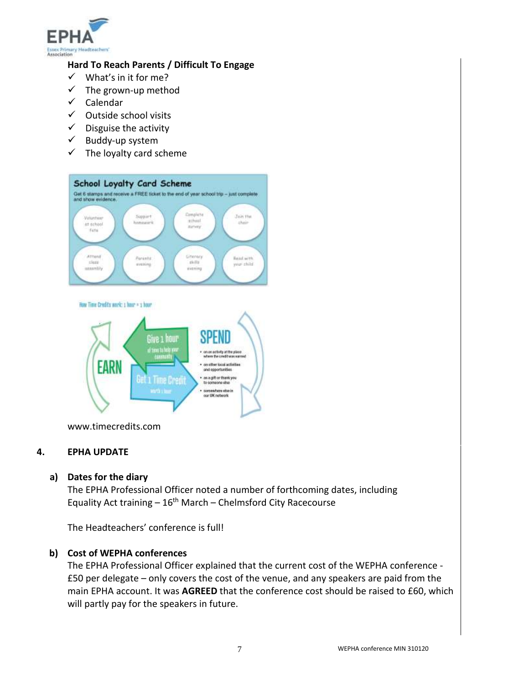

### **Hard To Reach Parents / Difficult To Engage**

- $\checkmark$  What's in it for me?
- $\checkmark$  The grown-up method
- $\checkmark$  Calendar
- $\checkmark$  Outside school visits
- $\checkmark$  Disguise the activity
- $\checkmark$  Buddy-up system
- $\checkmark$  The loyalty card scheme



How Time Credits work: a hour = a hour



www.timecredits.com

#### **4. EPHA UPDATE**

### **a) Dates for the diary**

The EPHA Professional Officer noted a number of forthcoming dates, including Equality Act training  $-16<sup>th</sup>$  March – Chelmsford City Racecourse

The Headteachers' conference is full!

### **b) Cost of WEPHA conferences**

The EPHA Professional Officer explained that the current cost of the WEPHA conference - £50 per delegate – only covers the cost of the venue, and any speakers are paid from the main EPHA account. It was **AGREED** that the conference cost should be raised to £60, which will partly pay for the speakers in future.